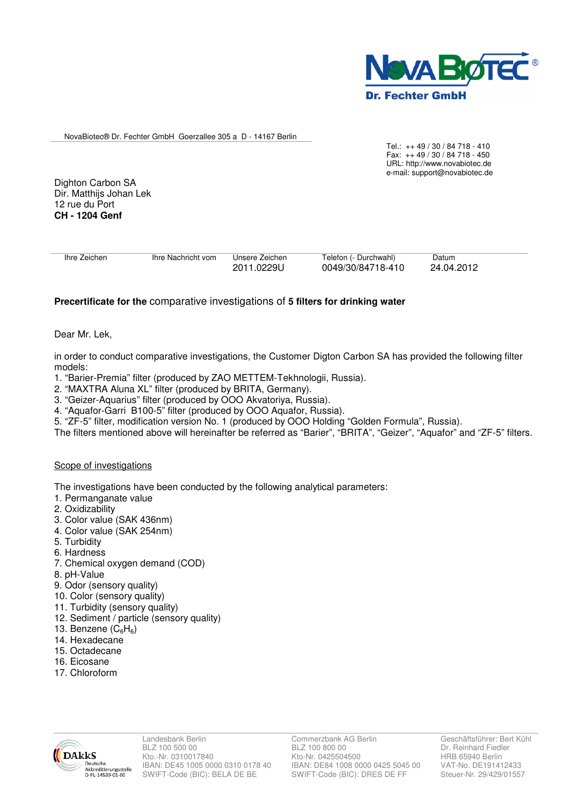

NovaBiotec® Dr. Fechter GmbH Goerzallee 305 a D - 14167 Berlin

Tel.: ++ 49 / 30 / 84 718 - 410 Fax: ++ 49 / 30 / 84 718 - 450 URL: http://www.novabiotec.de e-mail: support@novabiotec.de

Dighton Carbon SA Dir. Matthijs Johan Lek 12 rue du Port **CH - 1204 Genf** 

| Ihre Zeichen | Ihre Nachricht vom | Unsere Zeichen<br>2011.0229U | Telefon (- Durchwahl)<br>0049/30/84718-410 | Datum<br>24.04.2012 |  |
|--------------|--------------------|------------------------------|--------------------------------------------|---------------------|--|
|              |                    |                              |                                            |                     |  |
|              |                    |                              |                                            |                     |  |

# **Precertificate for the** comparative investigations of **5 filters for drinking water**

## Dear Mr. Lek,

in order to conduct comparative investigations, the Customer Digton Carbon SA has provided the following filter models:

- 1. "Barier-Premia" filter (produced by ZAO METTEM-Tekhnologii, Russia).
- 2. "MAXTRA Aluna XL" filter (produced by BRITA, Germany).
- 3. "Geizer-Aquarius" filter (produced by OOO Akvatoriya, Russia).
- 4. "Aquafor-Garri В100-5" filter (produced by OOO Aquafor, Russia).
- 5. "ZF-5" filter, modification version No. 1 (produced by OOO Holding "Golden Formula", Russia).
- The filters mentioned above will hereinafter be referred as "Barier", "BRITA", "Geizer", "Aquafor" and "ZF-5" filters.

#### Scope of investigations

The investigations have been conducted by the following analytical parameters:

- 1. Permanganate value
- 2. Oxidizability
- 3. Color value (SAK 436nm)
- 4. Color value (SAK 254nm)
- 5. Turbidity
- 6. Hardness
- 7. Chemical oxygen demand (COD)
- 8. pH-Value
- 9. Odor (sensory quality)
- 10. Color (sensory quality)
- 11. Turbidity (sensory quality)
- 12. Sediment / particle (sensory quality)
- 13. Benzene  $(C_6H_6)$
- 14. Hexadecane
- 15. Octadecane
- 16. Eicosane
- 17. Chloroform

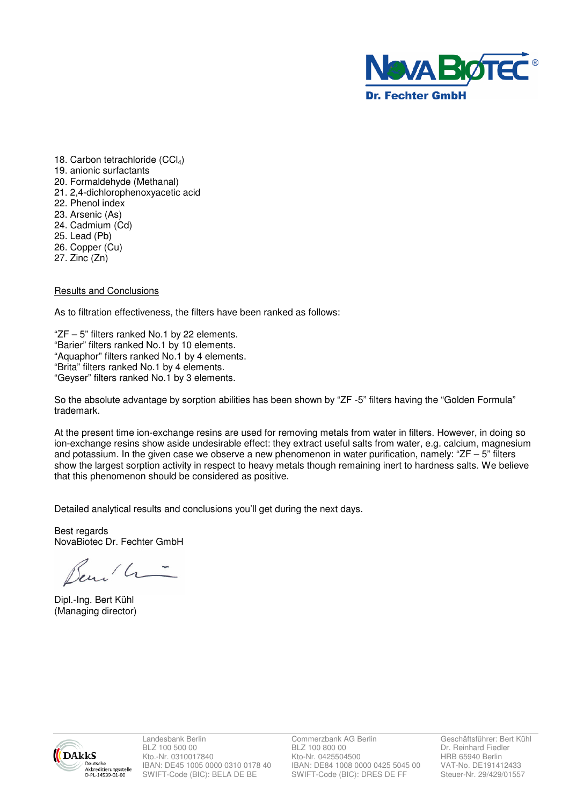

- 18. Carbon tetrachloride (CCl<sub>4</sub>) 19. anionic surfactants 20. Formaldehyde (Methanal) 21. 2,4-dichlorophenoxyacetic acid 22. Phenol index 23. Arsenic (As) 24. Cadmium (Cd) 25. Lead (Pb) 26. Copper (Cu)
- 27. Zinc (Zn)

### Results and Conclusions

As to filtration effectiveness, the filters have been ranked as follows:

"ZF – 5" filters ranked No.1 by 22 elements. "Barier" filters ranked No.1 by 10 elements. "Aquaphor" filters ranked No.1 by 4 elements. "Brita" filters ranked No.1 by 4 elements. "Geyser" filters ranked No.1 by 3 elements.

So the absolute advantage by sorption abilities has been shown by "ZF -5" filters having the "Golden Formula" trademark.

At the present time ion-exchange resins are used for removing metals from water in filters. However, in doing so ion-exchange resins show aside undesirable effect: they extract useful salts from water, e.g. calcium, magnesium and potassium. In the given case we observe a new phenomenon in water purification, namely: "ZF – 5" filters show the largest sorption activity in respect to heavy metals though remaining inert to hardness salts. We believe that this phenomenon should be considered as positive.

Detailed analytical results and conclusions you'll get during the next days.

Best regards NovaBiotec Dr. Fechter GmbH

Beni h-

Dipl.-Ing. Bert Kühl (Managing director)



BLZ 100 500 00 BLZ 100 800 00 BLZ 100 800 00 Dr. Reinhard Fiedler<br>
Kto-Nr. 0310017840 Kto-Nr. 0425504500 HRB 65940 Berlin **KS** Kto.-Nr. 0310017840 Kto-Nr. 0425504500 HRB 65940 Berlin<br>
Neutsche IBAN: DE45 1005 0000 0310 0178 40 IBAN: DE84 1008 0000 0425 5045 00 VAT-No. DE191412433 IBAN: DE45 1005 0000 0310 0178 40 IBAN: DE84 1008 0000 0425 5045 00 VAT-No. DE191412433<br>SWIFT-Code (BIC): BELA DE BE SWIFT-Code (BIC): DRES DE FF Steuer-Nr. 29/429/01557 ANNELINE-MILLEN.<br>D-PL-14539-01-00 SWIFT-Code (BIC): BELA DE BE SWIFT-Code (BIC): DRES DE FF

Landesbank Berlin Commerzbank AG Berlin Geschäftsführer: Bert Kühl